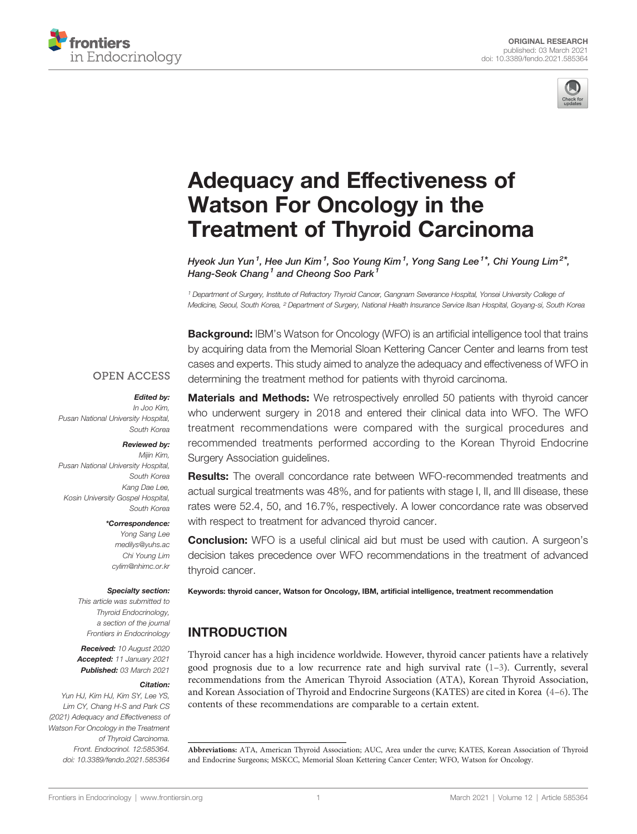



# [Adequacy and Effectiveness of](https://www.frontiersin.org/articles/10.3389/fendo.2021.585364/full) [Watson For Oncology in the](https://www.frontiersin.org/articles/10.3389/fendo.2021.585364/full) [Treatment of Thyroid Carcinoma](https://www.frontiersin.org/articles/10.3389/fendo.2021.585364/full)

Hyeok Jun Yun<sup>1</sup>, Hee Jun Kim<sup>1</sup>, Soo Young Kim<sup>1</sup>, Yong Sang Lee<sup>1\*</sup>, Chi Young Lim<sup>2\*</sup>, Hang-Seok Chang<sup>1</sup> and Cheong Soo Park

<sup>1</sup> Department of Surgery, Institute of Refractory Thyroid Cancer, Gangnam Severance Hospital, Yonsei University College of Medicine, Seoul, South Korea, <sup>2</sup> Department of Surgery, National Health Insurance Service Ilsan Hospital, Goyang-si, South Korea

**Background:** IBM's Watson for Oncology (WFO) is an artificial intelligence tool that trains by acquiring data from the Memorial Sloan Kettering Cancer Center and learns from test cases and experts. This study aimed to analyze the adequacy and effectiveness of WFO in determining the treatment method for patients with thyroid carcinoma.

## **OPEN ACCESS**

### Edited by:

In Joo Kim, Pusan National University Hospital, South Korea

#### Reviewed by:

Mijin Kim, Pusan National University Hospital, South Korea Kang Dae Lee, Kosin University Gospel Hospital, South Korea

#### \*Correspondence:

Yong Sang Lee [medilys@yuhs.ac](mailto:medilys@yuhs.ac) Chi Young Lim [cylim@nhimc.or.kr](mailto:cylim@nhimc.or.kr)

#### Specialty section:

This article was submitted to Thyroid Endocrinology, a section of the journal Frontiers in Endocrinology

Received: 10 August 2020 Accepted: 11 January 2021 Published: 03 March 2021

### Citation:

Yun HJ, Kim HJ, Kim SY, Lee YS, Lim CY, Chang H-S and Park CS (2021) Adequacy and Effectiveness of Watson For Oncology in the Treatment of Thyroid Carcinoma. Front. Endocrinol. 12:585364. [doi: 10.3389/fendo.2021.585364](https://doi.org/10.3389/fendo.2021.585364)

Materials and Methods: We retrospectively enrolled 50 patients with thyroid cancer who underwent surgery in 2018 and entered their clinical data into WFO. The WFO treatment recommendations were compared with the surgical procedures and recommended treatments performed according to the Korean Thyroid Endocrine Surgery Association guidelines.

Results: The overall concordance rate between WFO-recommended treatments and actual surgical treatments was 48%, and for patients with stage I, II, and III disease, these rates were 52.4, 50, and 16.7%, respectively. A lower concordance rate was observed with respect to treatment for advanced thyroid cancer.

**Conclusion:** WFO is a useful clinical aid but must be used with caution. A surgeon's decision takes precedence over WFO recommendations in the treatment of advanced thyroid cancer.

Keywords: thyroid cancer, Watson for Oncology, IBM, artificial intelligence, treatment recommendation

# INTRODUCTION

Thyroid cancer has a high incidence worldwide. However, thyroid cancer patients have a relatively good prognosis due to a low recurrence rate and high survival rate  $(1-3)$  $(1-3)$  $(1-3)$  $(1-3)$ . Currently, several recommendations from the American Thyroid Association (ATA), Korean Thyroid Association, and Korean Association of Thyroid and Endocrine Surgeons (KATES) are cited in Korea ([4](#page-4-0)–[6\)](#page-4-0). The contents of these recommendations are comparable to a certain extent.

Abbreviations: ATA, American Thyroid Association; AUC, Area under the curve; KATES, Korean Association of Thyroid and Endocrine Surgeons; MSKCC, Memorial Sloan Kettering Cancer Center; WFO, Watson for Oncology.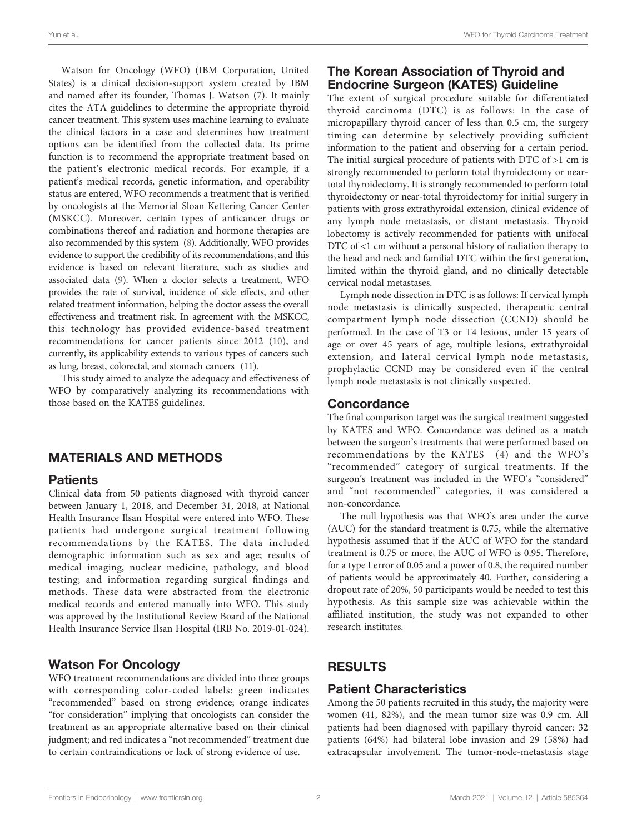Watson for Oncology (WFO) (IBM Corporation, United States) is a clinical decision-support system created by IBM and named after its founder, Thomas J. Watson [\(7\)](#page-4-0). It mainly cites the ATA guidelines to determine the appropriate thyroid cancer treatment. This system uses machine learning to evaluate the clinical factors in a case and determines how treatment options can be identified from the collected data. Its prime function is to recommend the appropriate treatment based on the patient's electronic medical records. For example, if a patient's medical records, genetic information, and operability status are entered, WFO recommends a treatment that is verified by oncologists at the Memorial Sloan Kettering Cancer Center (MSKCC). Moreover, certain types of anticancer drugs or combinations thereof and radiation and hormone therapies are also recommended by this system ([8\)](#page-4-0). Additionally, WFO provides evidence to support the credibility of its recommendations, and this evidence is based on relevant literature, such as studies and associated data [\(9\)](#page-4-0). When a doctor selects a treatment, WFO provides the rate of survival, incidence of side effects, and other related treatment information, helping the doctor assess the overall effectiveness and treatment risk. In agreement with the MSKCC, this technology has provided evidence-based treatment recommendations for cancer patients since 2012 ([10](#page-4-0)), and currently, its applicability extends to various types of cancers such as lung, breast, colorectal, and stomach cancers [\(11\)](#page-4-0).

This study aimed to analyze the adequacy and effectiveness of WFO by comparatively analyzing its recommendations with those based on the KATES guidelines.

# MATERIALS AND METHODS

## **Patients**

Clinical data from 50 patients diagnosed with thyroid cancer between January 1, 2018, and December 31, 2018, at National Health Insurance Ilsan Hospital were entered into WFO. These patients had undergone surgical treatment following recommendations by the KATES. The data included demographic information such as sex and age; results of medical imaging, nuclear medicine, pathology, and blood testing; and information regarding surgical findings and methods. These data were abstracted from the electronic medical records and entered manually into WFO. This study was approved by the Institutional Review Board of the National Health Insurance Service Ilsan Hospital (IRB No. 2019-01-024).

# Watson For Oncology

WFO treatment recommendations are divided into three groups with corresponding color-coded labels: green indicates "recommended" based on strong evidence; orange indicates "for consideration" implying that oncologists can consider the treatment as an appropriate alternative based on their clinical judgment; and red indicates a "not recommended" treatment due to certain contraindications or lack of strong evidence of use.

# The Korean Association of Thyroid and Endocrine Surgeon (KATES) Guideline

The extent of surgical procedure suitable for differentiated thyroid carcinoma (DTC) is as follows: In the case of micropapillary thyroid cancer of less than 0.5 cm, the surgery timing can determine by selectively providing sufficient information to the patient and observing for a certain period. The initial surgical procedure of patients with DTC of >1 cm is strongly recommended to perform total thyroidectomy or neartotal thyroidectomy. It is strongly recommended to perform total thyroidectomy or near-total thyroidectomy for initial surgery in patients with gross extrathyroidal extension, clinical evidence of any lymph node metastasis, or distant metastasis. Thyroid lobectomy is actively recommended for patients with unifocal DTC of <1 cm without a personal history of radiation therapy to the head and neck and familial DTC within the first generation, limited within the thyroid gland, and no clinically detectable cervical nodal metastases.

Lymph node dissection in DTC is as follows: If cervical lymph node metastasis is clinically suspected, therapeutic central compartment lymph node dissection (CCND) should be performed. In the case of T3 or T4 lesions, under 15 years of age or over 45 years of age, multiple lesions, extrathyroidal extension, and lateral cervical lymph node metastasis, prophylactic CCND may be considered even if the central lymph node metastasis is not clinically suspected.

## **Concordance**

The final comparison target was the surgical treatment suggested by KATES and WFO. Concordance was defined as a match between the surgeon's treatments that were performed based on recommendations by the KATES ([4](#page-4-0)) and the WFO's "recommended" category of surgical treatments. If the surgeon's treatment was included in the WFO's "considered" and "not recommended" categories, it was considered a non-concordance.

The null hypothesis was that WFO's area under the curve (AUC) for the standard treatment is 0.75, while the alternative hypothesis assumed that if the AUC of WFO for the standard treatment is 0.75 or more, the AUC of WFO is 0.95. Therefore, for a type I error of 0.05 and a power of 0.8, the required number of patients would be approximately 40. Further, considering a dropout rate of 20%, 50 participants would be needed to test this hypothesis. As this sample size was achievable within the affiliated institution, the study was not expanded to other research institutes.

# RESULTS

## Patient Characteristics

Among the 50 patients recruited in this study, the majority were women (41, 82%), and the mean tumor size was 0.9 cm. All patients had been diagnosed with papillary thyroid cancer: 32 patients (64%) had bilateral lobe invasion and 29 (58%) had extracapsular involvement. The tumor-node-metastasis stage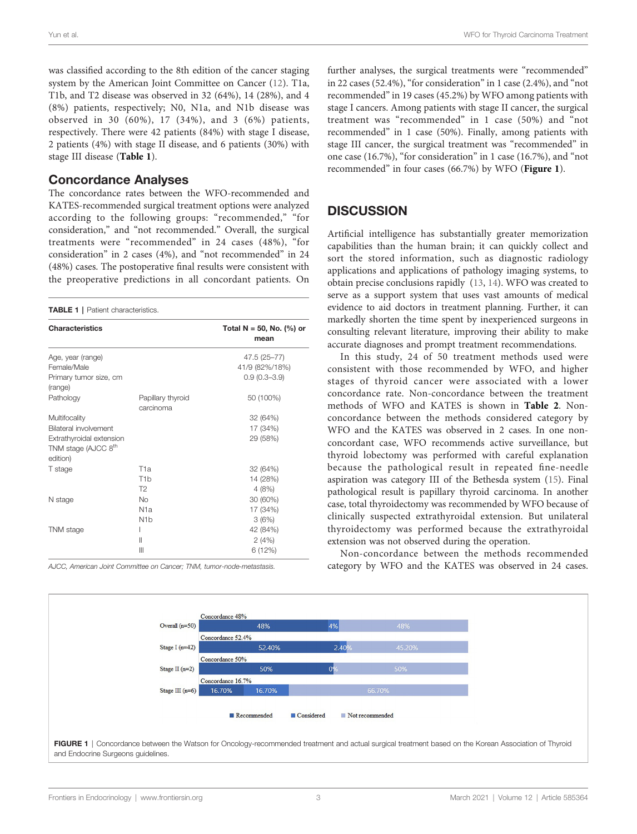was classified according to the 8th edition of the cancer staging system by the American Joint Committee on Cancer ([12](#page-4-0)). T1a, T1b, and T2 disease was observed in 32 (64%), 14 (28%), and 4 (8%) patients, respectively; N0, N1a, and N1b disease was observed in 30 (60%), 17 (34%), and 3 (6%) patients, respectively. There were 42 patients (84%) with stage I disease, 2 patients (4%) with stage II disease, and 6 patients (30%) with stage III disease (Table 1).

## Concordance Analyses

The concordance rates between the WFO-recommended and KATES-recommended surgical treatment options were analyzed according to the following groups: "recommended," "for consideration," and "not recommended." Overall, the surgical treatments were "recommended" in 24 cases (48%), "for consideration" in 2 cases (4%), and "not recommended" in 24 (48%) cases. The postoperative final results were consistent with the preoperative predictions in all concordant patients. On

#### TABLE 1 | Patient characteristics.

| <b>Characteristics</b>                                                  |                                | Total N = 50, No. $(\%)$ or<br>mean |
|-------------------------------------------------------------------------|--------------------------------|-------------------------------------|
| Age, year (range)                                                       |                                | 47.5 (25-77)                        |
| Female/Male                                                             |                                | 41/9 (82%/18%)                      |
| Primary tumor size, cm<br>(range)                                       |                                | $0.9(0.3 - 3.9)$                    |
| Pathology                                                               | Papillary thyroid<br>carcinoma | 50 (100%)                           |
| Multifocality                                                           |                                | 32 (64%)                            |
| Bilateral involvement                                                   |                                | 17 (34%)                            |
| Extrathyroidal extension<br>TNM stage (AJCC 8 <sup>th</sup><br>edition) |                                | 29 (58%)                            |
| T stage                                                                 | T <sub>1</sub> a               | 32 (64%)                            |
|                                                                         | T <sub>1</sub> b               | 14 (28%)                            |
|                                                                         | T2                             | 4(8%)                               |
| N stage                                                                 | <b>No</b>                      | 30 (60%)                            |
|                                                                         | N <sub>1</sub> a               | 17 (34%)                            |
|                                                                         | N <sub>1</sub> b               | 3(6%)                               |
| <b>TNM</b> stage                                                        | I                              | 42 (84%)                            |
|                                                                         | $\mathbf{  }$                  | 2(4%)                               |
|                                                                         | $\mathsf{III}$                 | 6 (12%)                             |

AJCC, American Joint Committee on Cancer; TNM, tumor-node-metastasis.

further analyses, the surgical treatments were "recommended" in 22 cases (52.4%), "for consideration" in 1 case (2.4%), and "not recommended" in 19 cases (45.2%) by WFO among patients with stage I cancers. Among patients with stage II cancer, the surgical treatment was "recommended" in 1 case (50%) and "not recommended" in 1 case (50%). Finally, among patients with stage III cancer, the surgical treatment was "recommended" in one case (16.7%), "for consideration" in 1 case (16.7%), and "not recommended" in four cases (66.7%) by WFO (Figure 1).

## **DISCUSSION**

Artificial intelligence has substantially greater memorization capabilities than the human brain; it can quickly collect and sort the stored information, such as diagnostic radiology applications and applications of pathology imaging systems, to obtain precise conclusions rapidly ([13,](#page-4-0) [14](#page-4-0)). WFO was created to serve as a support system that uses vast amounts of medical evidence to aid doctors in treatment planning. Further, it can markedly shorten the time spent by inexperienced surgeons in consulting relevant literature, improving their ability to make accurate diagnoses and prompt treatment recommendations.

In this study, 24 of 50 treatment methods used were consistent with those recommended by WFO, and higher stages of thyroid cancer were associated with a lower concordance rate. Non-concordance between the treatment methods of WFO and KATES is shown in [Table 2](#page-3-0). Nonconcordance between the methods considered category by WFO and the KATES was observed in 2 cases. In one nonconcordant case, WFO recommends active surveillance, but thyroid lobectomy was performed with careful explanation because the pathological result in repeated fine-needle aspiration was category III of the Bethesda system ([15\)](#page-4-0). Final pathological result is papillary thyroid carcinoma. In another case, total thyroidectomy was recommended by WFO because of clinically suspected extrathyroidal extension. But unilateral thyroidectomy was performed because the extrathyroidal extension was not observed during the operation.

Non-concordance between the methods recommended category by WFO and the KATES was observed in 24 cases.



and Endocrine Surgeons guidelines.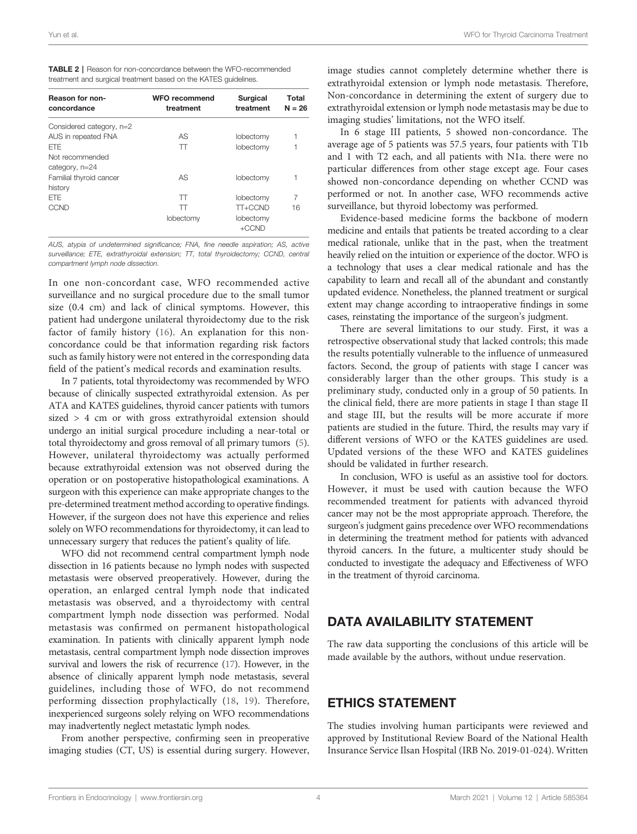<span id="page-3-0"></span>

| <b>TABLE 2</b>   Reason for non-concordance between the WFO-recommended |
|-------------------------------------------------------------------------|
| treatment and surgical treatment based on the KATES quidelines.         |

| Reason for non-<br>concordance | <b>WFO recommend</b><br>treatment | <b>Surgical</b><br>treatment | Total<br>$N = 26$ |
|--------------------------------|-----------------------------------|------------------------------|-------------------|
| Considered category, n=2       |                                   |                              |                   |
| AUS in repeated FNA            | AS                                | lobectomy                    |                   |
| <b>FTF</b>                     | π                                 | lobectomy                    |                   |
| Not recommended                |                                   |                              |                   |
| category, n=24                 |                                   |                              |                   |
| Familial thyroid cancer        | AS                                | lobectomy                    |                   |
| history                        |                                   |                              |                   |
| <b>FTF</b>                     | $\top$                            | lobectomy                    | 7                 |
| CCND                           | π                                 | TT+CCND                      | 16                |
|                                | lobectomy                         | lobectomy                    |                   |
|                                |                                   | +CCND                        |                   |

AUS, atypia of undetermined significance; FNA, fine needle aspiration; AS, active surveillance; ETE, extrathyroidal extension; TT, total thyroidectomy; CCND, central compartment lymph node dissection.

In one non-concordant case, WFO recommended active surveillance and no surgical procedure due to the small tumor size (0.4 cm) and lack of clinical symptoms. However, this patient had undergone unilateral thyroidectomy due to the risk factor of family history ([16](#page-4-0)). An explanation for this nonconcordance could be that information regarding risk factors such as family history were not entered in the corresponding data field of the patient's medical records and examination results.

In 7 patients, total thyroidectomy was recommended by WFO because of clinically suspected extrathyroidal extension. As per ATA and KATES guidelines, thyroid cancer patients with tumors sized > 4 cm or with gross extrathyroidal extension should undergo an initial surgical procedure including a near-total or total thyroidectomy and gross removal of all primary tumors [\(5\)](#page-4-0). However, unilateral thyroidectomy was actually performed because extrathyroidal extension was not observed during the operation or on postoperative histopathological examinations. A surgeon with this experience can make appropriate changes to the pre-determined treatment method according to operative findings. However, if the surgeon does not have this experience and relies solely on WFO recommendations for thyroidectomy, it can lead to unnecessary surgery that reduces the patient's quality of life.

WFO did not recommend central compartment lymph node dissection in 16 patients because no lymph nodes with suspected metastasis were observed preoperatively. However, during the operation, an enlarged central lymph node that indicated metastasis was observed, and a thyroidectomy with central compartment lymph node dissection was performed. Nodal metastasis was confirmed on permanent histopathological examination. In patients with clinically apparent lymph node metastasis, central compartment lymph node dissection improves survival and lowers the risk of recurrence ([17](#page-4-0)). However, in the absence of clinically apparent lymph node metastasis, several guidelines, including those of WFO, do not recommend performing dissection prophylactically [\(18,](#page-4-0) [19\)](#page-4-0). Therefore, inexperienced surgeons solely relying on WFO recommendations may inadvertently neglect metastatic lymph nodes.

From another perspective, confirming seen in preoperative imaging studies (CT, US) is essential during surgery. However, image studies cannot completely determine whether there is extrathyroidal extension or lymph node metastasis. Therefore, Non-concordance in determining the extent of surgery due to extrathyroidal extension or lymph node metastasis may be due to imaging studies' limitations, not the WFO itself.

In 6 stage III patients, 5 showed non-concordance. The average age of 5 patients was 57.5 years, four patients with T1b and 1 with T2 each, and all patients with N1a. there were no particular differences from other stage except age. Four cases showed non-concordance depending on whether CCND was performed or not. In another case, WFO recommends active surveillance, but thyroid lobectomy was performed.

Evidence-based medicine forms the backbone of modern medicine and entails that patients be treated according to a clear medical rationale, unlike that in the past, when the treatment heavily relied on the intuition or experience of the doctor. WFO is a technology that uses a clear medical rationale and has the capability to learn and recall all of the abundant and constantly updated evidence. Nonetheless, the planned treatment or surgical extent may change according to intraoperative findings in some cases, reinstating the importance of the surgeon's judgment.

There are several limitations to our study. First, it was a retrospective observational study that lacked controls; this made the results potentially vulnerable to the influence of unmeasured factors. Second, the group of patients with stage I cancer was considerably larger than the other groups. This study is a preliminary study, conducted only in a group of 50 patients. In the clinical field, there are more patients in stage I than stage II and stage III, but the results will be more accurate if more patients are studied in the future. Third, the results may vary if different versions of WFO or the KATES guidelines are used. Updated versions of the these WFO and KATES guidelines should be validated in further research.

In conclusion, WFO is useful as an assistive tool for doctors. However, it must be used with caution because the WFO recommended treatment for patients with advanced thyroid cancer may not be the most appropriate approach. Therefore, the surgeon's judgment gains precedence over WFO recommendations in determining the treatment method for patients with advanced thyroid cancers. In the future, a multicenter study should be conducted to investigate the adequacy and Effectiveness of WFO in the treatment of thyroid carcinoma.

# DATA AVAILABILITY STATEMENT

The raw data supporting the conclusions of this article will be made available by the authors, without undue reservation.

# ETHICS STATEMENT

The studies involving human participants were reviewed and approved by Institutional Review Board of the National Health Insurance Service Ilsan Hospital (IRB No. 2019-01-024). Written